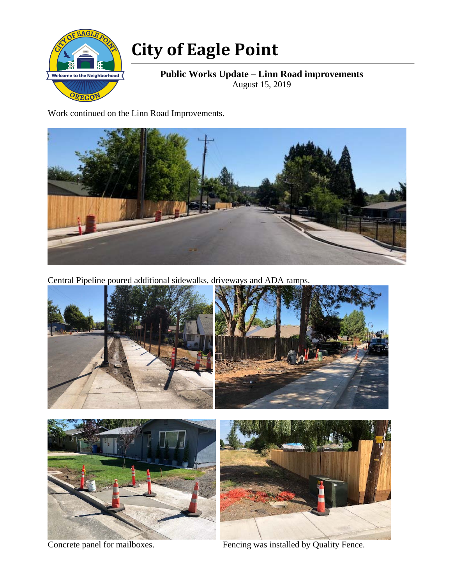

## **City of Eagle Point**

**Public Works Update – Linn Road improvements**  August 15, 2019

Work continued on the Linn Road Improvements.



Central Pipeline poured additional sidewalks, driveways and ADA ramps.









Concrete panel for mailboxes. Fencing was installed by Quality Fence.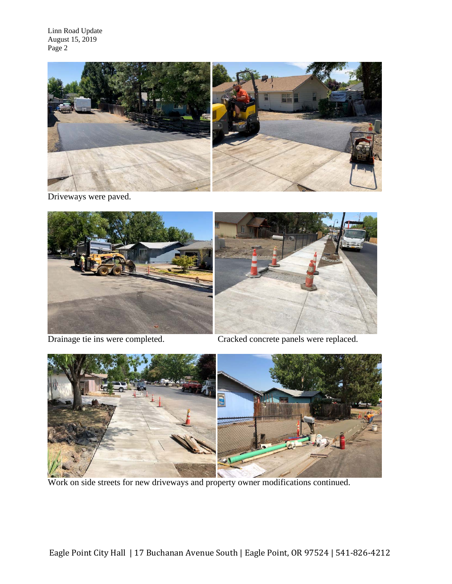Linn Road Update August 15, 2019 Page 2



Driveways were paved.





Drainage tie ins were completed. Cracked concrete panels were replaced.



Work on side streets for new driveways and property owner modifications continued.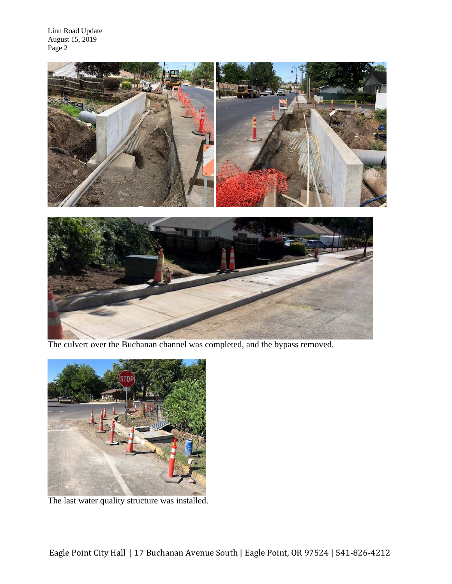Linn Road Update August 15, 2019 Page 2



The culvert over the Buchanan channel was completed, and the bypass removed.



The last water quality structure was installed.